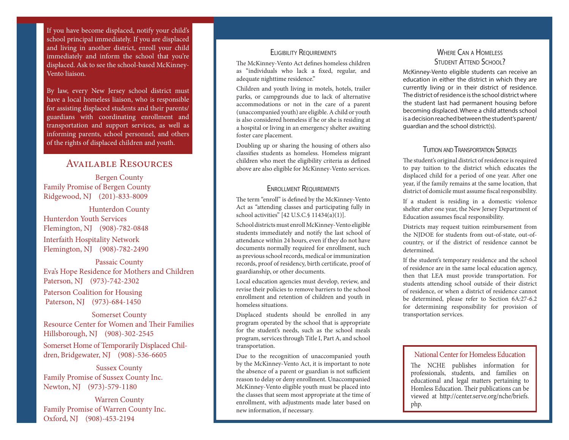If you have become displaced, notify your child's school principal immediately. If you are displaced and living in another district, enroll your child immediately and inform the school that you're displaced. Ask to see the school-based McKinney-Vento liaison.

By law, every New Jersey school district must have a local homeless liaison, who is responsible for assisting displaced students and their parents/ guardians with coordinating enrollment and transportation and support services, as well as informing parents, school personnel, and others of the rights of displaced children and youth.

# Available Resources

Bergen County Family Promise of Bergen County Ridgewood, NJ (201)-833-8009

Hunterdon County Hunterdon Youth Services Flemington, NJ (908)-782-0848

Interfaith Hospitality Network Flemington, NJ (908)-782-2490

Passaic County Eva's Hope Residence for Mothers and Children Paterson, NJ (973)-742-2302

Paterson Coalition for Housing Paterson, NJ (973)-684-1450

Somerset County Resource Center for Women and Their Families Hillsborough, NJ (908)-302-2545

Somerset Home of Temporarily Displaced Children, Bridgewater, NJ (908)-536-6605

Sussex County Family Promise of Sussex County Inc. Newton, NJ (973)-579-1180

Warren County Family Promise of Warren County Inc. Oxford, NJ (908)-453-2194

### **ELIGIBILITY REQUIREMENTS**

The McKinney-Vento Act defines homeless children as "individuals who lack a fixed, regular, and adequate nighttime residence."

Children and youth living in motels, hotels, trailer parks, or campgrounds due to lack of alternative accommodations or not in the care of a parent (unaccompanied youth) are eligible. A child or youth is also considered homeless if he or she is residing at a hospital or living in an emergency shelter awaiting foster care placement.

Doubling up or sharing the housing of others also classifies students as homeless. Homeless migrant children who meet the eligibility criteria as defined above are also eligible for McKinney-Vento services.

### ENROLLMENT REQUIREMENTS

The term "enroll" is defined by the McKinney-Vento Act as "attending classes and participating fully in school activities" [42 U.S.C.§ 11434(a)(1)].

School districts must enroll McKinney-Vento eligible students immediately and notify the last school of attendance within 24 hours, even if they do not have documents normally required for enrollment, such as previous school records, medical or immunization records, proof of residency, birth certificate, proof of guardianship, or other documents.

Local education agencies must develop, review, and revise their policies to remove barriers to the school enrollment and retention of children and youth in homeless situations.

Displaced students should be enrolled in any program operated by the school that is appropriate for the student's needs, such as the school meals program, services through Title I, Part A, and school transportation.

Due to the recognition of unaccompanied youth by the McKinney-Vento Act, it is important to note the absence of a parent or guardian is not sufficient reason to delay or deny enrollment. Unaccompanied McKinney-Vento eligible youth must be placed into the classes that seem most appropriate at the time of enrollment, with adjustments made later based on new information, if necessary.

### Where Can a Homeless STUDENT ATTEND SCHOOL?

McKinney-Vento eligible students can receive an education in either the district in which they are currently living or in their district of residence. The district of residence is the school district where the student last had permanent housing before becoming displaced. Where a child attends school is a decision reached between the student's parent/ guardian and the school district(s).

### **TUITION AND TRANSPORTATION SERVICES**

The student's original district of residence is required to pay tuition to the district which educates the displaced child for a period of one year. After one year, if the family remains at the same location, that district of domicile must assume fiscal responsibility.

If a student is residing in a domestic violence shelter after one year, the New Jersey Department of Education assumes fiscal responsibility.

Districts may request tuition reimbursement from the NJDOE for students from out-of-state, out-ofcountry, or if the district of residence cannot be determined.

If the student's temporary residence and the school of residence are in the same local education agency, then that LEA must provide transportation. For students attending school outside of their district of residence, or when a district of residence cannot be determined, please refer to Section 6A:27-6.2 for determining responsibility for provision of transportation services.

### National Center for Homeless Education

The NCHE publishes information for professionals, students, and families on educational and legal matters pertaining to Homless Education. Their publications can be viewed at http://center.serve.org/nche/briefs. php.